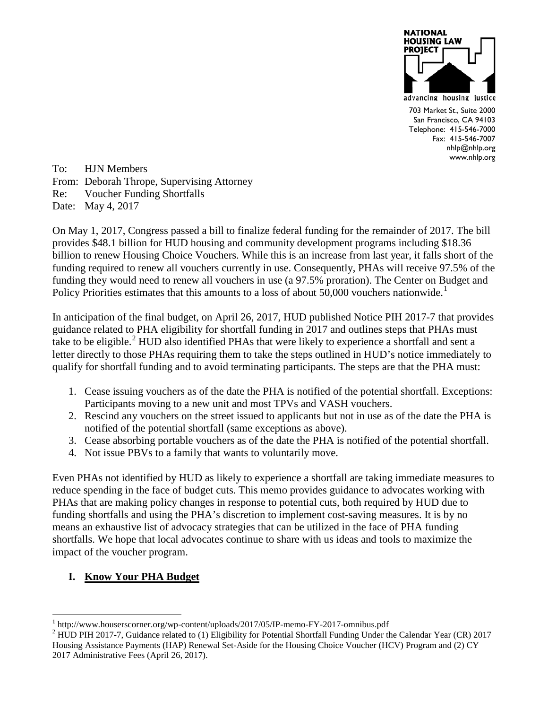

703 Market St., Suite 2000 San Francisco, CA 94103 Telephone: 415-546-7000 Fax: 415-546-7007 nhlp@nhlp.org www.nhlp.org

To: HJN Members From: Deborah Thrope, Supervising Attorney Re: Voucher Funding Shortfalls Date: May 4, 2017

On May 1, 2017, Congress passed a bill to finalize federal funding for the remainder of 2017. The bill provides \$48.1 billion for HUD housing and community development programs including \$18.36 billion to renew Housing Choice Vouchers. While this is an increase from last year, it falls short of the funding required to renew all vouchers currently in use. Consequently, PHAs will receive 97.5% of the funding they would need to renew all vouchers in use (a 97.5% proration). The Center on Budget and Policy Priorities estimates that this amounts to a loss of about 50,000 vouchers nationwide.<sup>[1](#page-0-0)</sup>

In anticipation of the final budget, on April 26, 2017, HUD published Notice PIH 2017-7 that provides guidance related to PHA eligibility for shortfall funding in 2017 and outlines steps that PHAs must take to be eligible. [2](#page-0-1) HUD also identified PHAs that were likely to experience a shortfall and sent a letter directly to those PHAs requiring them to take the steps outlined in HUD's notice immediately to qualify for shortfall funding and to avoid terminating participants. The steps are that the PHA must:

- 1. Cease issuing vouchers as of the date the PHA is notified of the potential shortfall. Exceptions: Participants moving to a new unit and most TPVs and VASH vouchers.
- 2. Rescind any vouchers on the street issued to applicants but not in use as of the date the PHA is notified of the potential shortfall (same exceptions as above).
- 3. Cease absorbing portable vouchers as of the date the PHA is notified of the potential shortfall.
- 4. Not issue PBVs to a family that wants to voluntarily move.

Even PHAs not identified by HUD as likely to experience a shortfall are taking immediate measures to reduce spending in the face of budget cuts. This memo provides guidance to advocates working with PHAs that are making policy changes in response to potential cuts, both required by HUD due to funding shortfalls and using the PHA's discretion to implement cost-saving measures. It is by no means an exhaustive list of advocacy strategies that can be utilized in the face of PHA funding shortfalls. We hope that local advocates continue to share with us ideas and tools to maximize the impact of the voucher program.

## **I. Know Your PHA Budget**

<span id="page-0-0"></span>

<span id="page-0-1"></span><sup>&</sup>lt;sup>1</sup> http://www.houserscorner.org/wp-content/uploads/2017/05/IP-memo-FY-2017-omnibus.pdf <sup>2</sup> HUD PIH 2017-7, Guidance related to (1) Eligibility for Potential Shortfall Funding Under the Calendar Year (CR) 2017 Housing Assistance Payments (HAP) Renewal Set-Aside for the Housing Choice Voucher (HCV) Program and (2) CY 2017 Administrative Fees (April 26, 2017).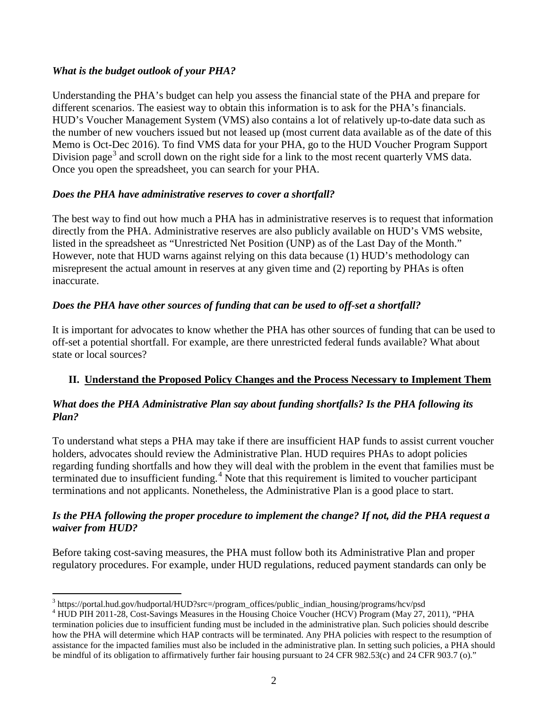#### *What is the budget outlook of your PHA?*

Understanding the PHA's budget can help you assess the financial state of the PHA and prepare for different scenarios. The easiest way to obtain this information is to ask for the PHA's financials. HUD's Voucher Management System (VMS) also contains a lot of relatively up-to-date data such as the number of new vouchers issued but not leased up (most current data available as of the date of this Memo is Oct-Dec 2016). To find VMS data for your PHA, go to the HUD Voucher Program Support Division page<sup>[3](#page-1-0)</sup> and scroll down on the right side for a link to the most recent quarterly VMS data. Once you open the spreadsheet, you can search for your PHA.

#### *Does the PHA have administrative reserves to cover a shortfall?*

The best way to find out how much a PHA has in administrative reserves is to request that information directly from the PHA. Administrative reserves are also publicly available on HUD's VMS website, listed in the spreadsheet as "Unrestricted Net Position (UNP) as of the Last Day of the Month." However, note that HUD warns against relying on this data because (1) HUD's methodology can misrepresent the actual amount in reserves at any given time and (2) reporting by PHAs is often inaccurate.

## *Does the PHA have other sources of funding that can be used to off-set a shortfall?*

It is important for advocates to know whether the PHA has other sources of funding that can be used to off-set a potential shortfall. For example, are there unrestricted federal funds available? What about state or local sources?

## **II. Understand the Proposed Policy Changes and the Process Necessary to Implement Them**

#### *What does the PHA Administrative Plan say about funding shortfalls? Is the PHA following its Plan?*

To understand what steps a PHA may take if there are insufficient HAP funds to assist current voucher holders, advocates should review the Administrative Plan. HUD requires PHAs to adopt policies regarding funding shortfalls and how they will deal with the problem in the event that families must be terminated due to insufficient funding.<sup>[4](#page-1-1)</sup> Note that this requirement is limited to voucher participant terminations and not applicants. Nonetheless, the Administrative Plan is a good place to start.

#### *Is the PHA following the proper procedure to implement the change? If not, did the PHA request a waiver from HUD?*

Before taking cost-saving measures, the PHA must follow both its Administrative Plan and proper regulatory procedures. For example, under HUD regulations, reduced payment standards can only be

<span id="page-1-0"></span><sup>&</sup>lt;sup>3</sup> https://portal.hud.gov/hudportal/HUD?src=/program\_offices/public\_indian\_housing/programs/hcv/psd

<span id="page-1-1"></span><sup>&</sup>lt;sup>4</sup> HUD PIH 2011-28, Cost-Savings Measures in the Housing Choice Voucher (HCV) Program (May 27, 2011), "PHA termination policies due to insufficient funding must be included in the administrative plan. Such policies should describe how the PHA will determine which HAP contracts will be terminated. Any PHA policies with respect to the resumption of assistance for the impacted families must also be included in the administrative plan. In setting such policies, a PHA should be mindful of its obligation to affirmatively further fair housing pursuant to 24 CFR 982.53(c) and 24 CFR 903.7 (o)."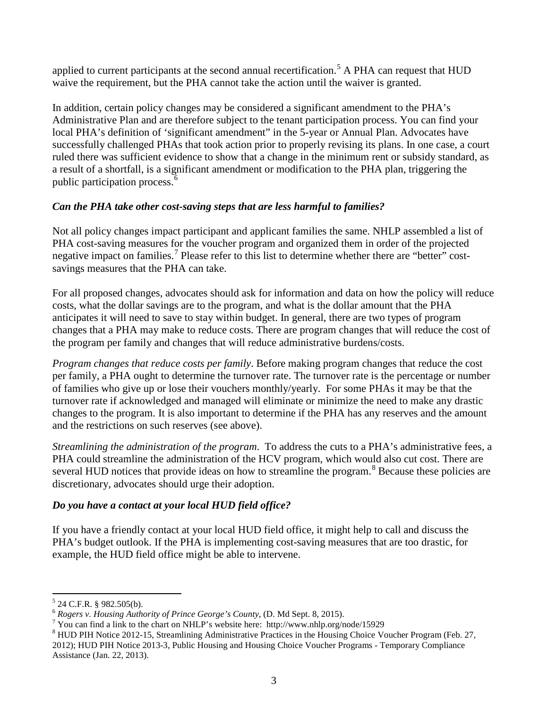applied to current participants at the second annual recertification.<sup>[5](#page-2-0)</sup> A PHA can request that  $HUD$ waive the requirement, but the PHA cannot take the action until the waiver is granted.

In addition, certain policy changes may be considered a significant amendment to the PHA's Administrative Plan and are therefore subject to the tenant participation process. You can find your local PHA's definition of 'significant amendment' in the 5-year or Annual Plan. Advocates have successfully challenged PHAs that took action prior to properly revising its plans. In one case, a court ruled there was sufficient evidence to show that a change in the minimum rent or subsidy standard, as a result of a shortfall, is a significant amendment or modification to the PHA plan, triggering the public participation process.[6](#page-2-1)

## *Can the PHA take other cost-saving steps that are less harmful to families?*

Not all policy changes impact participant and applicant families the same. NHLP assembled a list of PHA cost-saving measures for the voucher program and organized them in order of the projected negative impact on families.<sup>[7](#page-2-2)</sup> Please refer to this list to determine whether there are "better" costsavings measures that the PHA can take.

For all proposed changes, advocates should ask for information and data on how the policy will reduce costs, what the dollar savings are to the program, and what is the dollar amount that the PHA anticipates it will need to save to stay within budget. In general, there are two types of program changes that a PHA may make to reduce costs. There are program changes that will reduce the cost of the program per family and changes that will reduce administrative burdens/costs.

*Program changes that reduce costs per family*. Before making program changes that reduce the cost per family, a PHA ought to determine the turnover rate. The turnover rate is the percentage or number of families who give up or lose their vouchers monthly/yearly. For some PHAs it may be that the turnover rate if acknowledged and managed will eliminate or minimize the need to make any drastic changes to the program. It is also important to determine if the PHA has any reserves and the amount and the restrictions on such reserves (see above).

*Streamlining the administration of the program*. To address the cuts to a PHA's administrative fees, a PHA could streamline the administration of the HCV program, which would also cut cost. There are several HUD notices that provide ideas on how to streamline the program.<sup>[8](#page-2-3)</sup> Because these policies are discretionary, advocates should urge their adoption.

# *Do you have a contact at your local HUD field office?*

If you have a friendly contact at your local HUD field office, it might help to call and discuss the PHA's budget outlook. If the PHA is implementing cost-saving measures that are too drastic, for example, the HUD field office might be able to intervene.

<span id="page-2-1"></span>

<span id="page-2-0"></span><sup>&</sup>lt;sup>5</sup> 24 C.F.R. § 982.505(b).<br>
<sup>6</sup> *Rogers v. Housing Authority of Prince George's County*, (D. Md Sept. 8, 2015).<br>
<sup>7</sup> You can find a link to the chart on NHLP's website here: http://www.nhlp.org/node/15929

<span id="page-2-3"></span><span id="page-2-2"></span><sup>&</sup>lt;sup>8</sup> HUD PIH Notice 2012-15, Streamlining Administrative Practices in the Housing Choice Voucher Program (Feb. 27, 2012); HUD PIH Notice 2013-3, Public Housing and Housing Choice Voucher Programs - Temporary Compliance Assistance (Jan. 22, 2013).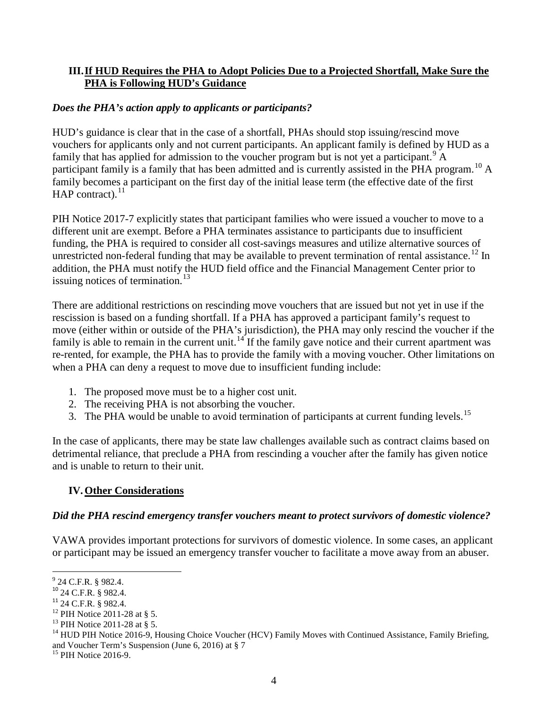#### **III.If HUD Requires the PHA to Adopt Policies Due to a Projected Shortfall, Make Sure the PHA is Following HUD's Guidance**

#### *Does the PHA's action apply to applicants or participants?*

HUD's guidance is clear that in the case of a shortfall, PHAs should stop issuing/rescind move vouchers for applicants only and not current participants. An applicant family is defined by HUD as a family that has applied for admission to the voucher program but is not yet a participant.<sup>[9](#page-3-0)</sup> A participant family is a family that has been admitted and is currently assisted in the PHA program.<sup>[10](#page-3-1)</sup> A family becomes a participant on the first day of the initial lease term (the effective date of the first  $HAP$  contract).<sup>[11](#page-3-2)</sup>

PIH Notice 2017-7 explicitly states that participant families who were issued a voucher to move to a different unit are exempt. Before a PHA terminates assistance to participants due to insufficient funding, the PHA is required to consider all cost-savings measures and utilize alternative sources of unrestricted non-federal funding that may be available to prevent termination of rental assistance.<sup>[12](#page-3-3)</sup> In addition, the PHA must notify the HUD field office and the Financial Management Center prior to issuing notices of termination.<sup>[13](#page-3-4)</sup>

There are additional restrictions on rescinding move vouchers that are issued but not yet in use if the rescission is based on a funding shortfall. If a PHA has approved a participant family's request to move (either within or outside of the PHA's jurisdiction), the PHA may only rescind the voucher if the family is able to remain in the current unit.<sup>[14](#page-3-5)</sup> If the family gave notice and their current apartment was re-rented, for example, the PHA has to provide the family with a moving voucher. Other limitations on when a PHA can deny a request to move due to insufficient funding include:

- 1. The proposed move must be to a higher cost unit.
- 2. The receiving PHA is not absorbing the voucher.
- 3. The PHA would be unable to avoid termination of participants at current funding levels.<sup>[15](#page-3-6)</sup>

In the case of applicants, there may be state law challenges available such as contract claims based on detrimental reliance, that preclude a PHA from rescinding a voucher after the family has given notice and is unable to return to their unit.

#### **IV.Other Considerations**

#### *Did the PHA rescind emergency transfer vouchers meant to protect survivors of domestic violence?*

VAWA provides important protections for survivors of domestic violence. In some cases, an applicant or participant may be issued an emergency transfer voucher to facilitate a move away from an abuser.

<span id="page-3-0"></span><sup>&</sup>lt;sup>9</sup> 24 C.F.R. § 982.4.<br><sup>10</sup> 24 C.F.R. § 982.4.

<span id="page-3-5"></span><span id="page-3-4"></span>

<span id="page-3-3"></span><span id="page-3-2"></span><span id="page-3-1"></span><sup>&</sup>lt;sup>11</sup> 24 C.F.R. § 982.4.<br><sup>12</sup> PIH Notice 2011-28 at § 5.<br><sup>13</sup> PIH Notice 2011-28 at § 5.<br><sup>14</sup> HUD PIH Notice 2016-9, Housing Choice Voucher (HCV) Family Moves with Continued Assistance, Family Briefing, and Voucher Term's Suspension (June 6, 2016) at § 7<br><sup>15</sup> PIH Notice 2016-9.

<span id="page-3-6"></span>